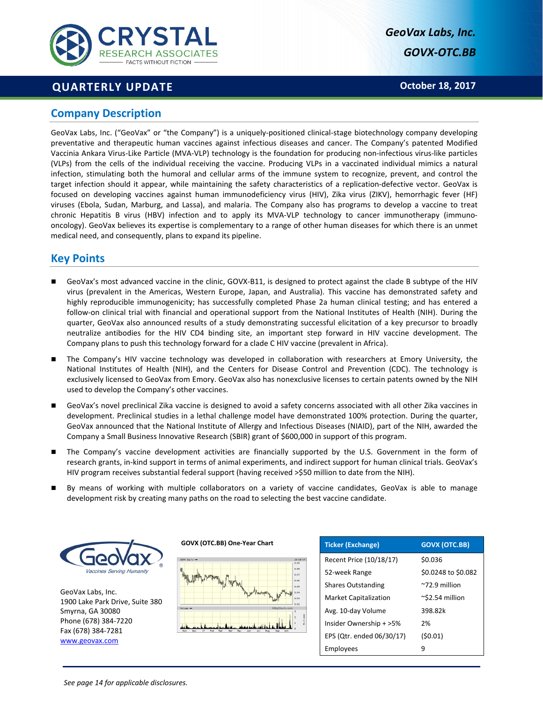

# **QUARTERLY UPDATE**

*GeoVax Labs, Inc. GOVX‐OTC.BB* 

**October 18, 2017** 

### **Company Description**

GeoVax Labs, Inc. ("GeoVax" or "the Company") is a uniquely‐positioned clinical‐stage biotechnology company developing preventative and therapeutic human vaccines against infectious diseases and cancer. The Company's patented Modified Vaccinia Ankara Virus‐Like Particle (MVA‐VLP) technology is the foundation for producing non‐infectious virus‐like particles (VLPs) from the cells of the individual receiving the vaccine. Producing VLPs in a vaccinated individual mimics a natural infection, stimulating both the humoral and cellular arms of the immune system to recognize, prevent, and control the target infection should it appear, while maintaining the safety characteristics of a replication-defective vector. GeoVax is focused on developing vaccines against human immunodeficiency virus (HIV), Zika virus (ZIKV), hemorrhagic fever (HF) viruses (Ebola, Sudan, Marburg, and Lassa), and malaria. The Company also has programs to develop a vaccine to treat chronic Hepatitis B virus (HBV) infection and to apply its MVA-VLP technology to cancer immunotherapy (immunooncology). GeoVax believes its expertise is complementary to a range of other human diseases for which there is an unmet medical need, and consequently, plans to expand its pipeline.

# **Key Points**

- GeoVax's most advanced vaccine in the clinic, GOVX‐B11, is designed to protect against the clade B subtype of the HIV virus (prevalent in the Americas, Western Europe, Japan, and Australia). This vaccine has demonstrated safety and highly reproducible immunogenicity; has successfully completed Phase 2a human clinical testing; and has entered a follow-on clinical trial with financial and operational support from the National Institutes of Health (NIH). During the quarter, GeoVax also announced results of a study demonstrating successful elicitation of a key precursor to broadly neutralize antibodies for the HIV CD4 binding site, an important step forward in HIV vaccine development. The Company plans to push this technology forward for a clade C HIV vaccine (prevalent in Africa).
- The Company's HIV vaccine technology was developed in collaboration with researchers at Emory University, the National Institutes of Health (NIH), and the Centers for Disease Control and Prevention (CDC). The technology is exclusively licensed to GeoVax from Emory. GeoVax also has nonexclusive licenses to certain patents owned by the NIH used to develop the Company's other vaccines.
- GeoVax's novel preclinical Zika vaccine is designed to avoid a safety concerns associated with all other Zika vaccines in development. Preclinical studies in a lethal challenge model have demonstrated 100% protection. During the quarter, GeoVax announced that the National Institute of Allergy and Infectious Diseases (NIAID), part of the NIH, awarded the Company a Small Business Innovative Research (SBIR) grant of \$600,000 in support of this program.
- The Company's vaccine development activities are financially supported by the U.S. Government in the form of research grants, in‐kind support in terms of animal experiments, and indirect support for human clinical trials. GeoVax's HIV program receives substantial federal support (having received >\$50 million to date from the NIH).
- By means of working with multiple collaborators on a variety of vaccine candidates, GeoVax is able to manage development risk by creating many paths on the road to selecting the best vaccine candidate.



GeoVax Labs, Inc. 1900 Lake Park Drive, Suite 380 Smyrna, GA 30080 Phone (678) 384‐7220 Fax (678) 384‐7281 www.geovax.com



**GOVX (OTC.BB) One‐Year Chart**

| <b>Ticker (Exchange)</b>     | <b>GOVX (OTC.BB)</b>     |
|------------------------------|--------------------------|
| Recent Price (10/18/17)      | \$0.036                  |
| 52-week Range                | \$0.0248 to \$0.082      |
| <b>Shares Outstanding</b>    | $^{\sim}$ 72.9 million   |
| <b>Market Capitalization</b> | $\approx$ \$2.54 million |
| Avg. 10-day Volume           | 398.82k                  |
| Insider Ownership + >5%      | 2%                       |
| EPS (Qtr. ended 06/30/17)    | (50.01)                  |
| Employees                    | 9                        |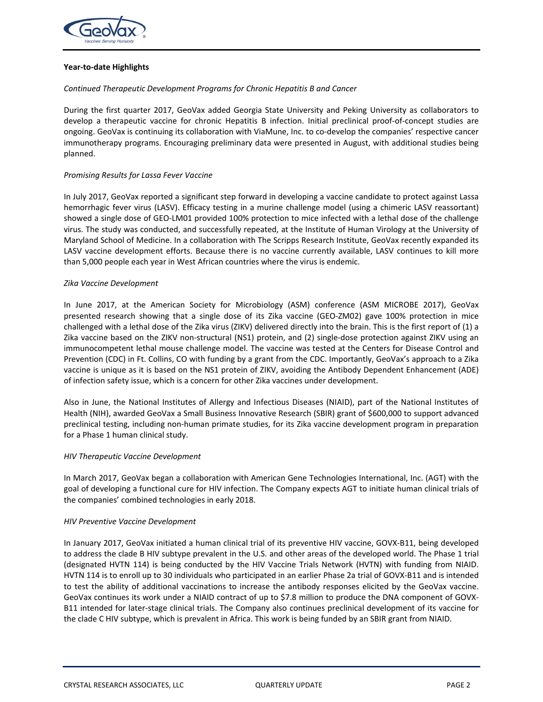

### **Year‐to‐date Highlights**

### *Continued Therapeutic Development Programs for Chronic Hepatitis B and Cancer*

During the first quarter 2017, GeoVax added Georgia State University and Peking University as collaborators to develop a therapeutic vaccine for chronic Hepatitis B infection. Initial preclinical proof-of-concept studies are ongoing. GeoVax is continuing its collaboration with ViaMune, Inc. to co-develop the companies' respective cancer immunotherapy programs. Encouraging preliminary data were presented in August, with additional studies being planned.

### *Promising Results for Lassa Fever Vaccine*

In July 2017, GeoVax reported a significant step forward in developing a vaccine candidate to protect against Lassa hemorrhagic fever virus (LASV). Efficacy testing in a murine challenge model (using a chimeric LASV reassortant) showed a single dose of GEO‐LM01 provided 100% protection to mice infected with a lethal dose of the challenge virus. The study was conducted, and successfully repeated, at the Institute of Human Virology at the University of Maryland School of Medicine. In a collaboration with The Scripps Research Institute, GeoVax recently expanded its LASV vaccine development efforts. Because there is no vaccine currently available, LASV continues to kill more than 5,000 people each year in West African countries where the virus is endemic.

### *Zika Vaccine Development*

In June 2017, at the American Society for Microbiology (ASM) conference (ASM MICROBE 2017), GeoVax presented research showing that a single dose of its Zika vaccine (GEO-ZM02) gave 100% protection in mice challenged with a lethal dose of the Zika virus (ZIKV) delivered directly into the brain. This is the first report of (1) a Zika vaccine based on the ZIKV non-structural (NS1) protein, and (2) single-dose protection against ZIKV using an immunocompetent lethal mouse challenge model. The vaccine was tested at the Centers for Disease Control and Prevention (CDC) in Ft. Collins, CO with funding by a grant from the CDC. Importantly, GeoVax's approach to a Zika vaccine is unique as it is based on the NS1 protein of ZIKV, avoiding the Antibody Dependent Enhancement (ADE) of infection safety issue, which is a concern for other Zika vaccines under development.

Also in June, the National Institutes of Allergy and Infectious Diseases (NIAID), part of the National Institutes of Health (NIH), awarded GeoVax a Small Business Innovative Research (SBIR) grant of \$600,000 to support advanced preclinical testing, including non‐human primate studies, for its Zika vaccine development program in preparation for a Phase 1 human clinical study.

### *HIV Therapeutic Vaccine Development*

In March 2017, GeoVax began a collaboration with American Gene Technologies International, Inc. (AGT) with the goal of developing a functional cure for HIV infection. The Company expects AGT to initiate human clinical trials of the companies' combined technologies in early 2018.

### *HIV Preventive Vaccine Development*

In January 2017, GeoVax initiated a human clinical trial of its preventive HIV vaccine, GOVX‐B11, being developed to address the clade B HIV subtype prevalent in the U.S. and other areas of the developed world. The Phase 1 trial (designated HVTN 114) is being conducted by the HIV Vaccine Trials Network (HVTN) with funding from NIAID. HVTN 114 is to enroll up to 30 individuals who participated in an earlier Phase 2a trial of GOVX‐B11 and is intended to test the ability of additional vaccinations to increase the antibody responses elicited by the GeoVax vaccine. GeoVax continues its work under a NIAID contract of up to \$7.8 million to produce the DNA component of GOVX‐ B11 intended for later‐stage clinical trials. The Company also continues preclinical development of its vaccine for the clade C HIV subtype, which is prevalent in Africa. This work is being funded by an SBIR grant from NIAID.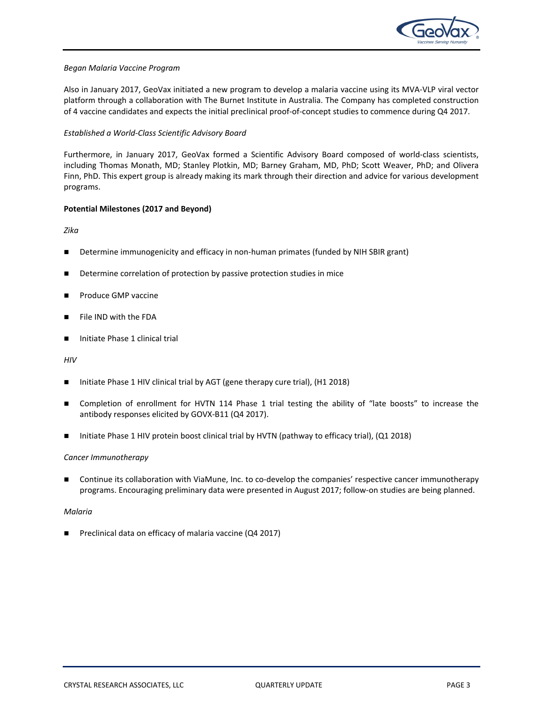

### *Began Malaria Vaccine Program*

Also in January 2017, GeoVax initiated a new program to develop a malaria vaccine using its MVA‐VLP viral vector platform through a collaboration with The Burnet Institute in Australia. The Company has completed construction of 4 vaccine candidates and expects the initial preclinical proof‐of‐concept studies to commence during Q4 2017.

### *Established a World‐Class Scientific Advisory Board*

Furthermore, in January 2017, GeoVax formed a Scientific Advisory Board composed of world-class scientists, including Thomas Monath, MD; Stanley Plotkin, MD; Barney Graham, MD, PhD; Scott Weaver, PhD; and Olivera Finn, PhD. This expert group is already making its mark through their direction and advice for various development programs.

### **Potential Milestones (2017 and Beyond)**

*Zika* 

- Determine immunogenicity and efficacy in non-human primates (funded by NIH SBIR grant)
- Determine correlation of protection by passive protection studies in mice
- Produce GMP vaccine
- File IND with the FDA
- Initiate Phase 1 clinical trial

*HIV* 

- Initiate Phase 1 HIV clinical trial by AGT (gene therapy cure trial), (H1 2018)
- Completion of enrollment for HVTN 114 Phase 1 trial testing the ability of "late boosts" to increase the antibody responses elicited by GOVX‐B11 (Q4 2017).
- Initiate Phase 1 HIV protein boost clinical trial by HVTN (pathway to efficacy trial), (Q1 2018)

### *Cancer Immunotherapy*

 Continue its collaboration with ViaMune, Inc. to co‐develop the companies' respective cancer immunotherapy programs. Encouraging preliminary data were presented in August 2017; follow-on studies are being planned.

### *Malaria*

■ Preclinical data on efficacy of malaria vaccine (Q4 2017)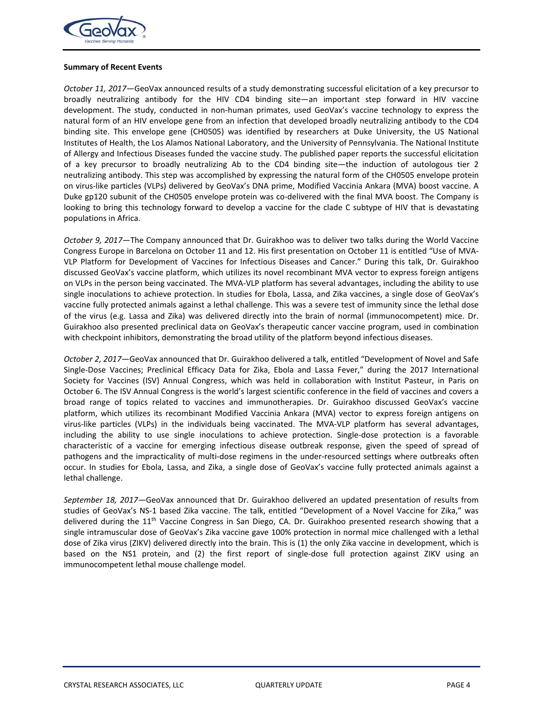

#### **Summary of Recent Events**

*October 11, 2017—*GeoVax announced results of a study demonstrating successful elicitation of a key precursor to broadly neutralizing antibody for the HIV CD4 binding site—an important step forward in HIV vaccine development. The study, conducted in non-human primates, used GeoVax's vaccine technology to express the natural form of an HIV envelope gene from an infection that developed broadly neutralizing antibody to the CD4 binding site. This envelope gene (CH0505) was identified by researchers at Duke University, the US National Institutes of Health, the Los Alamos National Laboratory, and the University of Pennsylvania. The National Institute of Allergy and Infectious Diseases funded the vaccine study. The published paper reports the successful elicitation of a key precursor to broadly neutralizing Ab to the CD4 binding site—the induction of autologous tier 2 neutralizing antibody. This step was accomplished by expressing the natural form of the CH0505 envelope protein on virus‐like particles (VLPs) delivered by GeoVax's DNA prime, Modified Vaccinia Ankara (MVA) boost vaccine. A Duke gp120 subunit of the CH0505 envelope protein was co-delivered with the final MVA boost. The Company is looking to bring this technology forward to develop a vaccine for the clade C subtype of HIV that is devastating populations in Africa.

*October 9, 2017—*The Company announced that Dr. Guirakhoo was to deliver two talks during the World Vaccine Congress Europe in Barcelona on October 11 and 12. His first presentation on October 11 is entitled "Use of MVA‐ VLP Platform for Development of Vaccines for Infectious Diseases and Cancer." During this talk, Dr. Guirakhoo discussed GeoVax's vaccine platform, which utilizes its novel recombinant MVA vector to express foreign antigens on VLPs in the person being vaccinated. The MVA‐VLP platform has several advantages, including the ability to use single inoculations to achieve protection. In studies for Ebola, Lassa, and Zika vaccines, a single dose of GeoVax's vaccine fully protected animals against a lethal challenge. This was a severe test of immunity since the lethal dose of the virus (e.g. Lassa and Zika) was delivered directly into the brain of normal (immunocompetent) mice. Dr. Guirakhoo also presented preclinical data on GeoVax's therapeutic cancer vaccine program, used in combination with checkpoint inhibitors, demonstrating the broad utility of the platform beyond infectious diseases.

*October 2, 2017—*GeoVax announced that Dr. Guirakhoo delivered a talk, entitled "Development of Novel and Safe Single-Dose Vaccines; Preclinical Efficacy Data for Zika, Ebola and Lassa Fever," during the 2017 International Society for Vaccines (ISV) Annual Congress, which was held in collaboration with Institut Pasteur, in Paris on October 6. The ISV Annual Congress is the world's largest scientific conference in the field of vaccines and covers a broad range of topics related to vaccines and immunotherapies. Dr. Guirakhoo discussed GeoVax's vaccine platform, which utilizes its recombinant Modified Vaccinia Ankara (MVA) vector to express foreign antigens on virus‐like particles (VLPs) in the individuals being vaccinated. The MVA‐VLP platform has several advantages, including the ability to use single inoculations to achieve protection. Single-dose protection is a favorable characteristic of a vaccine for emerging infectious disease outbreak response, given the speed of spread of pathogens and the impracticality of multi-dose regimens in the under-resourced settings where outbreaks often occur. In studies for Ebola, Lassa, and Zika, a single dose of GeoVax's vaccine fully protected animals against a lethal challenge.

*September 18, 2017—*GeoVax announced that Dr. Guirakhoo delivered an updated presentation of results from studies of GeoVax's NS-1 based Zika vaccine. The talk, entitled "Development of a Novel Vaccine for Zika," was delivered during the  $11<sup>th</sup>$  Vaccine Congress in San Diego, CA. Dr. Guirakhoo presented research showing that a single intramuscular dose of GeoVax's Zika vaccine gave 100% protection in normal mice challenged with a lethal dose of Zika virus (ZIKV) delivered directly into the brain. This is (1) the only Zika vaccine in development, which is based on the NS1 protein, and (2) the first report of single-dose full protection against ZIKV using an immunocompetent lethal mouse challenge model.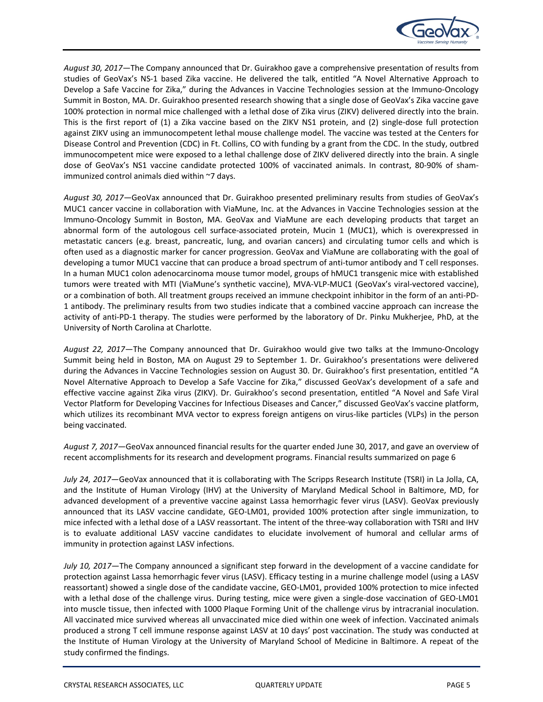

*August 30, 2017—*The Company announced that Dr. Guirakhoo gave a comprehensive presentation of results from studies of GeoVax's NS‐1 based Zika vaccine. He delivered the talk, entitled "A Novel Alternative Approach to Develop a Safe Vaccine for Zika," during the Advances in Vaccine Technologies session at the Immuno-Oncology Summit in Boston, MA. Dr. Guirakhoo presented research showing that a single dose of GeoVax's Zika vaccine gave 100% protection in normal mice challenged with a lethal dose of Zika virus (ZIKV) delivered directly into the brain. This is the first report of (1) a Zika vaccine based on the ZIKV NS1 protein, and (2) single-dose full protection against ZIKV using an immunocompetent lethal mouse challenge model. The vaccine was tested at the Centers for Disease Control and Prevention (CDC) in Ft. Collins, CO with funding by a grant from the CDC. In the study, outbred immunocompetent mice were exposed to a lethal challenge dose of ZIKV delivered directly into the brain. A single dose of GeoVax's NS1 vaccine candidate protected 100% of vaccinated animals. In contrast, 80-90% of shamimmunized control animals died within ~7 days.

*August 30, 2017—*GeoVax announced that Dr. Guirakhoo presented preliminary results from studies of GeoVax's MUC1 cancer vaccine in collaboration with ViaMune, Inc. at the Advances in Vaccine Technologies session at the Immuno-Oncology Summit in Boston, MA. GeoVax and ViaMune are each developing products that target an abnormal form of the autologous cell surface-associated protein, Mucin 1 (MUC1), which is overexpressed in metastatic cancers (e.g. breast, pancreatic, lung, and ovarian cancers) and circulating tumor cells and which is often used as a diagnostic marker for cancer progression. GeoVax and ViaMune are collaborating with the goal of developing a tumor MUC1 vaccine that can produce a broad spectrum of anti-tumor antibody and T cell responses. In a human MUC1 colon adenocarcinoma mouse tumor model, groups of hMUC1 transgenic mice with established tumors were treated with MTI (ViaMune's synthetic vaccine), MVA‐VLP‐MUC1 (GeoVax's viral‐vectored vaccine), or a combination of both. All treatment groups received an immune checkpoint inhibitor in the form of an anti‐PD‐ 1 antibody. The preliminary results from two studies indicate that a combined vaccine approach can increase the activity of anti‐PD‐1 therapy. The studies were performed by the laboratory of Dr. Pinku Mukherjee, PhD, at the University of North Carolina at Charlotte.

*August 22, 2017—*The Company announced that Dr. Guirakhoo would give two talks at the Immuno‐Oncology Summit being held in Boston, MA on August 29 to September 1. Dr. Guirakhoo's presentations were delivered during the Advances in Vaccine Technologies session on August 30. Dr. Guirakhoo's first presentation, entitled "A Novel Alternative Approach to Develop a Safe Vaccine for Zika," discussed GeoVax's development of a safe and effective vaccine against Zika virus (ZIKV). Dr. Guirakhoo's second presentation, entitled "A Novel and Safe Viral Vector Platform for Developing Vaccines for Infectious Diseases and Cancer," discussed GeoVax's vaccine platform, which utilizes its recombinant MVA vector to express foreign antigens on virus-like particles (VLPs) in the person being vaccinated.

*August 7, 2017—*GeoVax announced financial results for the quarter ended June 30, 2017, and gave an overview of recent accomplishments for its research and development programs. Financial results summarized on page 6

*July 24, 2017—*GeoVax announced that it is collaborating with The Scripps Research Institute (TSRI) in La Jolla, CA, and the Institute of Human Virology (IHV) at the University of Maryland Medical School in Baltimore, MD, for advanced development of a preventive vaccine against Lassa hemorrhagic fever virus (LASV). GeoVax previously announced that its LASV vaccine candidate, GEO‐LM01, provided 100% protection after single immunization, to mice infected with a lethal dose of a LASV reassortant. The intent of the three‐way collaboration with TSRI and IHV is to evaluate additional LASV vaccine candidates to elucidate involvement of humoral and cellular arms of immunity in protection against LASV infections.

*July 10, 2017—*The Company announced a significant step forward in the development of a vaccine candidate for protection against Lassa hemorrhagic fever virus (LASV). Efficacy testing in a murine challenge model (using a LASV reassortant) showed a single dose of the candidate vaccine, GEO‐LM01, provided 100% protection to mice infected with a lethal dose of the challenge virus. During testing, mice were given a single-dose vaccination of GEO-LM01 into muscle tissue, then infected with 1000 Plaque Forming Unit of the challenge virus by intracranial inoculation. All vaccinated mice survived whereas all unvaccinated mice died within one week of infection. Vaccinated animals produced a strong T cell immune response against LASV at 10 days' post vaccination. The study was conducted at the Institute of Human Virology at the University of Maryland School of Medicine in Baltimore. A repeat of the study confirmed the findings.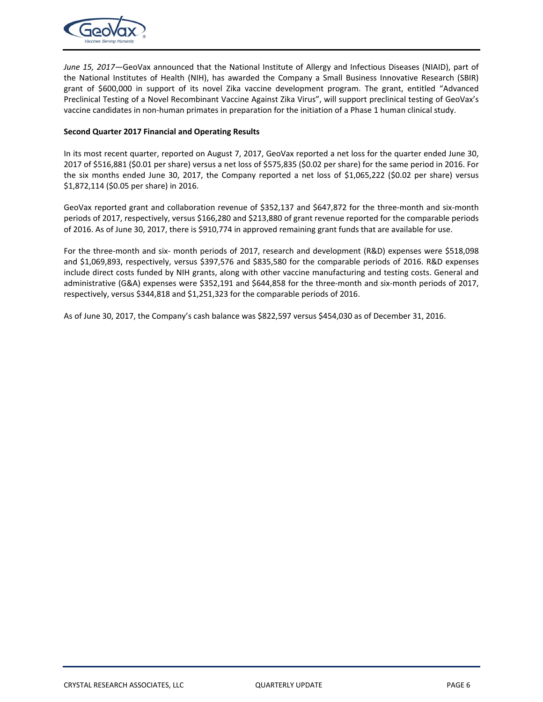

*June 15, 2017—*GeoVax announced that the National Institute of Allergy and Infectious Diseases (NIAID), part of the National Institutes of Health (NIH), has awarded the Company a Small Business Innovative Research (SBIR) grant of \$600,000 in support of its novel Zika vaccine development program. The grant, entitled "Advanced Preclinical Testing of a Novel Recombinant Vaccine Against Zika Virus", will support preclinical testing of GeoVax's vaccine candidates in non‐human primates in preparation for the initiation of a Phase 1 human clinical study.

### **Second Quarter 2017 Financial and Operating Results**

In its most recent quarter, reported on August 7, 2017, GeoVax reported a net loss for the quarter ended June 30, 2017 of \$516,881 (\$0.01 per share) versus a net loss of \$575,835 (\$0.02 per share) for the same period in 2016. For the six months ended June 30, 2017, the Company reported a net loss of \$1,065,222 (\$0.02 per share) versus \$1,872,114 (\$0.05 per share) in 2016.

GeoVax reported grant and collaboration revenue of \$352,137 and \$647,872 for the three-month and six-month periods of 2017, respectively, versus \$166,280 and \$213,880 of grant revenue reported for the comparable periods of 2016. As of June 30, 2017, there is \$910,774 in approved remaining grant funds that are available for use.

For the three-month and six- month periods of 2017, research and development (R&D) expenses were \$518,098 and \$1,069,893, respectively, versus \$397,576 and \$835,580 for the comparable periods of 2016. R&D expenses include direct costs funded by NIH grants, along with other vaccine manufacturing and testing costs. General and administrative (G&A) expenses were \$352,191 and \$644,858 for the three-month and six-month periods of 2017, respectively, versus \$344,818 and \$1,251,323 for the comparable periods of 2016.

As of June 30, 2017, the Company's cash balance was \$822,597 versus \$454,030 as of December 31, 2016.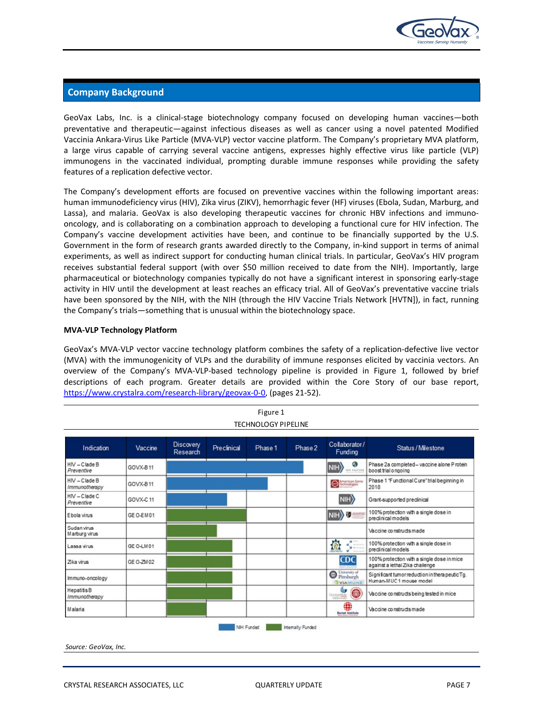

### **Company Background**

GeoVax Labs, Inc. is a clinical-stage biotechnology company focused on developing human vaccines—both preventative and therapeutic—against infectious diseases as well as cancer using a novel patented Modified Vaccinia Ankara‐Virus Like Particle (MVA‐VLP) vector vaccine platform. The Company's proprietary MVA platform, a large virus capable of carrying several vaccine antigens, expresses highly effective virus like particle (VLP) immunogens in the vaccinated individual, prompting durable immune responses while providing the safety features of a replication defective vector.

The Company's development efforts are focused on preventive vaccines within the following important areas: human immunodeficiency virus (HIV), Zika virus (ZIKV), hemorrhagic fever (HF) viruses (Ebola, Sudan, Marburg, and Lassa), and malaria. GeoVax is also developing therapeutic vaccines for chronic HBV infections and immunooncology, and is collaborating on a combination approach to developing a functional cure for HIV infection. The Company's vaccine development activities have been, and continue to be financially supported by the U.S. Government in the form of research grants awarded directly to the Company, in‐kind support in terms of animal experiments, as well as indirect support for conducting human clinical trials. In particular, GeoVax's HIV program receives substantial federal support (with over \$50 million received to date from the NIH). Importantly, large pharmaceutical or biotechnology companies typically do not have a significant interest in sponsoring early‐stage activity in HIV until the development at least reaches an efficacy trial. All of GeoVax's preventative vaccine trials have been sponsored by the NIH, with the NIH (through the HIV Vaccine Trials Network [HVTN]), in fact, running the Company's trials—something that is unusual within the biotechnology space.

### **MVA‐VLP Technology Platform**

GeoVax's MVA-VLP vector vaccine technology platform combines the safety of a replication-defective live vector (MVA) with the immunogenicity of VLPs and the durability of immune responses elicited by vaccinia vectors. An overview of the Company's MVA-VLP-based technology pipeline is provided in Figure 1, followed by brief descriptions of each program. Greater details are provided within the Core Story of our base report, https://www.crystalra.com/research‐library/geovax‐0‐0, (pages 21‐52).

| Collaborator/<br><b>Discovery</b><br>Vaccine<br>Preclinical<br>Phase 1<br>Status / Milestone<br>Indication<br>Phase 2 |           |          |  |  |  |                                        |                                                                               |
|-----------------------------------------------------------------------------------------------------------------------|-----------|----------|--|--|--|----------------------------------------|-------------------------------------------------------------------------------|
|                                                                                                                       |           | Research |  |  |  | Funding                                |                                                                               |
| HIV-Clade B<br>Preventive                                                                                             | GOVX-B11  |          |  |  |  | G)<br>NIH<br>HIV VACCINE               | Phase 2a completed-vaccine alone Protein<br>boost trial ongoing               |
| $HV - Claude B$<br>Immunotherapy                                                                                      | GOVX-B11  |          |  |  |  | <b>Confering Gene</b>                  | Phase 1 "Functional Cure" trial beginning in<br>2018                          |
| $HIV - C$ lade $C$<br>Preventive                                                                                      | GOVX-C11  |          |  |  |  | NIH                                    | Grant-supported preclinical                                                   |
| Ebola virus                                                                                                           | GE O-EM01 |          |  |  |  | NIHY U                                 | 100% protection with a single dose in<br>predinical models                    |
| Sudan virus<br>Marburg virus                                                                                          |           |          |  |  |  |                                        | Vaccine constructs made                                                       |
| Lassa virus                                                                                                           | GE O-LM01 |          |  |  |  | $\cdot$<br>偷<br><b>W</b> Recorded      | 100% protection with a single dose in<br>predinical models                    |
| Zika virus                                                                                                            | GE 0-ZM02 |          |  |  |  | <b>CDC</b>                             | 100% protection with a single dose in mice<br>against a lethal Zika challenge |
| Immuno-oncology                                                                                                       |           |          |  |  |  | C University of<br><b>BYIAMUNE</b>     | Significant tumor reduction in thera peutic Tg.<br>Human-MUC1 mouse model     |
| <b>HepatitisB</b><br>Immunotherapy                                                                                    |           |          |  |  |  | s,<br>6<br>Georgia State<br>University | Vaccine constructs being tested in mice                                       |
| Malaria                                                                                                               |           |          |  |  |  | ₩<br><b>Burnet Institute</b>           | Vaccine constructs made                                                       |

*Source: GeoVax, Inc.*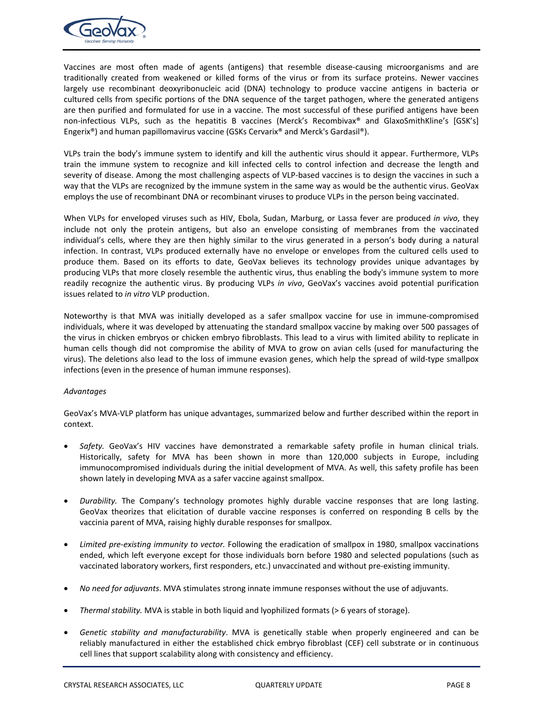

Vaccines are most often made of agents (antigens) that resemble disease-causing microorganisms and are traditionally created from weakened or killed forms of the virus or from its surface proteins. Newer vaccines largely use recombinant deoxyribonucleic acid (DNA) technology to produce vaccine antigens in bacteria or cultured cells from specific portions of the DNA sequence of the target pathogen, where the generated antigens are then purified and formulated for use in a vaccine. The most successful of these purified antigens have been non-infectious VLPs, such as the hepatitis B vaccines (Merck's Recombivax® and GlaxoSmithKline's [GSK's] Engerix®) and human papillomavirus vaccine (GSKs Cervarix® and Merck's Gardasil®).

VLPs train the body's immune system to identify and kill the authentic virus should it appear. Furthermore, VLPs train the immune system to recognize and kill infected cells to control infection and decrease the length and severity of disease. Among the most challenging aspects of VLP-based vaccines is to design the vaccines in such a way that the VLPs are recognized by the immune system in the same way as would be the authentic virus. GeoVax employs the use of recombinant DNA or recombinant viruses to produce VLPs in the person being vaccinated.

When VLPs for enveloped viruses such as HIV, Ebola, Sudan, Marburg, or Lassa fever are produced *in vivo*, they include not only the protein antigens, but also an envelope consisting of membranes from the vaccinated individual's cells, where they are then highly similar to the virus generated in a person's body during a natural infection. In contrast, VLPs produced externally have no envelope or envelopes from the cultured cells used to produce them. Based on its efforts to date, GeoVax believes its technology provides unique advantages by producing VLPs that more closely resemble the authentic virus, thus enabling the body's immune system to more readily recognize the authentic virus. By producing VLPs *in vivo*, GeoVax's vaccines avoid potential purification issues related to *in vitro* VLP production.

Noteworthy is that MVA was initially developed as a safer smallpox vaccine for use in immune-compromised individuals, where it was developed by attenuating the standard smallpox vaccine by making over 500 passages of the virus in chicken embryos or chicken embryo fibroblasts. This lead to a virus with limited ability to replicate in human cells though did not compromise the ability of MVA to grow on avian cells (used for manufacturing the virus). The deletions also lead to the loss of immune evasion genes, which help the spread of wild‐type smallpox infections (even in the presence of human immune responses).

### *Advantages*

GeoVax's MVA‐VLP platform has unique advantages, summarized below and further described within the report in context.

- *Safety.*  GeoVax's HIV vaccines have demonstrated a remarkable safety profile in human clinical trials. Historically, safety for MVA has been shown in more than 120,000 subjects in Europe, including immunocompromised individuals during the initial development of MVA. As well, this safety profile has been shown lately in developing MVA as a safer vaccine against smallpox.
- *Durability.* The Company's technology promotes highly durable vaccine responses that are long lasting. GeoVax theorizes that elicitation of durable vaccine responses is conferred on responding B cells by the vaccinia parent of MVA, raising highly durable responses for smallpox.
- *Limited pre‐existing immunity to vector.* Following the eradication of smallpox in 1980, smallpox vaccinations ended, which left everyone except for those individuals born before 1980 and selected populations (such as vaccinated laboratory workers, first responders, etc.) unvaccinated and without pre‐existing immunity.
- *No need for adjuvants*. MVA stimulates strong innate immune responses without the use of adjuvants.
- *Thermal stability.* MVA is stable in both liquid and lyophilized formats (> 6 years of storage).
- *Genetic stability and manufacturability*. MVA is genetically stable when properly engineered and can be reliably manufactured in either the established chick embryo fibroblast (CEF) cell substrate or in continuous cell lines that support scalability along with consistency and efficiency.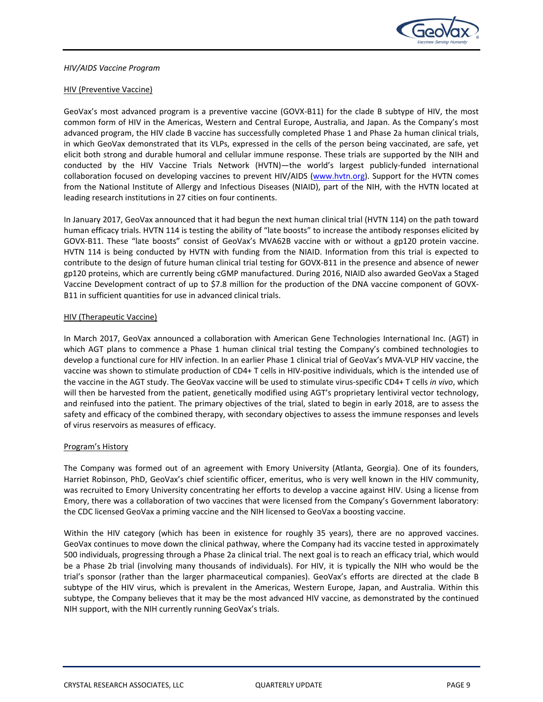

### HIV (Preventive Vaccine)

GeoVax's most advanced program is a preventive vaccine (GOVX-B11) for the clade B subtype of HIV, the most common form of HIV in the Americas, Western and Central Europe, Australia, and Japan. As the Company's most advanced program, the HIV clade B vaccine has successfully completed Phase 1 and Phase 2a human clinical trials, in which GeoVax demonstrated that its VLPs, expressed in the cells of the person being vaccinated, are safe, yet elicit both strong and durable humoral and cellular immune response. These trials are supported by the NIH and conducted by the HIV Vaccine Trials Network (HVTN)—the world's largest publicly‐funded international collaboration focused on developing vaccines to prevent HIV/AIDS (www.hvtn.org). Support for the HVTN comes from the National Institute of Allergy and Infectious Diseases (NIAID), part of the NIH, with the HVTN located at leading research institutions in 27 cities on four continents.

In January 2017, GeoVax announced that it had begun the next human clinical trial (HVTN 114) on the path toward human efficacy trials. HVTN 114 is testing the ability of "late boosts" to increase the antibody responses elicited by GOVX‐B11. These "late boosts" consist of GeoVax's MVA62B vaccine with or without a gp120 protein vaccine. HVTN 114 is being conducted by HVTN with funding from the NIAID. Information from this trial is expected to contribute to the design of future human clinical trial testing for GOVX‐B11 in the presence and absence of newer gp120 proteins, which are currently being cGMP manufactured. During 2016, NIAID also awarded GeoVax a Staged Vaccine Development contract of up to \$7.8 million for the production of the DNA vaccine component of GOVX‐ B11 in sufficient quantities for use in advanced clinical trials.

### HIV (Therapeutic Vaccine)

In March 2017, GeoVax announced a collaboration with American Gene Technologies International Inc. (AGT) in which AGT plans to commence a Phase 1 human clinical trial testing the Company's combined technologies to develop a functional cure for HIV infection. In an earlier Phase 1 clinical trial of GeoVax's MVA‐VLP HIV vaccine, the vaccine was shown to stimulate production of CD4+ T cells in HIV‐positive individuals, which is the intended use of the vaccine in the AGT study. The GeoVax vaccine will be used to stimulate virus‐specific CD4+ T cells *in vivo*, which will then be harvested from the patient, genetically modified using AGT's proprietary lentiviral vector technology, and reinfused into the patient. The primary objectives of the trial, slated to begin in early 2018, are to assess the safety and efficacy of the combined therapy, with secondary objectives to assess the immune responses and levels of virus reservoirs as measures of efficacy.

### Program's History

The Company was formed out of an agreement with Emory University (Atlanta, Georgia). One of its founders, Harriet Robinson, PhD, GeoVax's chief scientific officer, emeritus, who is very well known in the HIV community, was recruited to Emory University concentrating her efforts to develop a vaccine against HIV. Using a license from Emory, there was a collaboration of two vaccines that were licensed from the Company's Government laboratory: the CDC licensed GeoVax a priming vaccine and the NIH licensed to GeoVax a boosting vaccine.

Within the HIV category (which has been in existence for roughly 35 years), there are no approved vaccines. GeoVax continues to move down the clinical pathway, where the Company had its vaccine tested in approximately 500 individuals, progressing through a Phase 2a clinical trial. The next goal is to reach an efficacy trial, which would be a Phase 2b trial (involving many thousands of individuals). For HIV, it is typically the NIH who would be the trial's sponsor (rather than the larger pharmaceutical companies). GeoVax's efforts are directed at the clade B subtype of the HIV virus, which is prevalent in the Americas, Western Europe, Japan, and Australia. Within this subtype, the Company believes that it may be the most advanced HIV vaccine, as demonstrated by the continued NIH support, with the NIH currently running GeoVax's trials.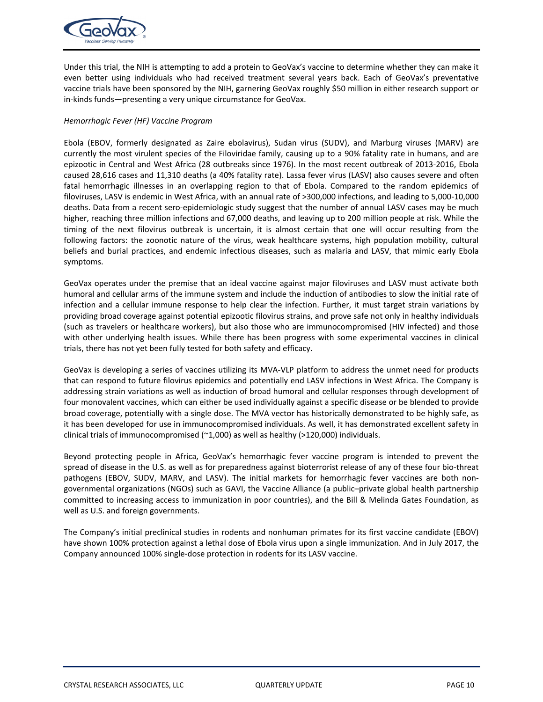

Under this trial, the NIH is attempting to add a protein to GeoVax's vaccine to determine whether they can make it even better using individuals who had received treatment several years back. Each of GeoVax's preventative vaccine trials have been sponsored by the NIH, garnering GeoVax roughly \$50 million in either research support or in-kinds funds—presenting a very unique circumstance for GeoVax.

### *Hemorrhagic Fever (HF) Vaccine Program*

Ebola (EBOV, formerly designated as Zaire ebolavirus), Sudan virus (SUDV), and Marburg viruses (MARV) are currently the most virulent species of the Filoviridae family, causing up to a 90% fatality rate in humans, and are epizootic in Central and West Africa (28 outbreaks since 1976). In the most recent outbreak of 2013‐2016, Ebola caused 28,616 cases and 11,310 deaths (a 40% fatality rate). Lassa fever virus (LASV) also causes severe and often fatal hemorrhagic illnesses in an overlapping region to that of Ebola. Compared to the random epidemics of filoviruses, LASV is endemic in West Africa, with an annual rate of >300,000 infections, and leading to 5,000‐10,000 deaths. Data from a recent sero‐epidemiologic study suggest that the number of annual LASV cases may be much higher, reaching three million infections and 67,000 deaths, and leaving up to 200 million people at risk. While the timing of the next filovirus outbreak is uncertain, it is almost certain that one will occur resulting from the following factors: the zoonotic nature of the virus, weak healthcare systems, high population mobility, cultural beliefs and burial practices, and endemic infectious diseases, such as malaria and LASV, that mimic early Ebola symptoms.

GeoVax operates under the premise that an ideal vaccine against major filoviruses and LASV must activate both humoral and cellular arms of the immune system and include the induction of antibodies to slow the initial rate of infection and a cellular immune response to help clear the infection. Further, it must target strain variations by providing broad coverage against potential epizootic filovirus strains, and prove safe not only in healthy individuals (such as travelers or healthcare workers), but also those who are immunocompromised (HIV infected) and those with other underlying health issues. While there has been progress with some experimental vaccines in clinical trials, there has not yet been fully tested for both safety and efficacy.

GeoVax is developing a series of vaccines utilizing its MVA‐VLP platform to address the unmet need for products that can respond to future filovirus epidemics and potentially end LASV infections in West Africa. The Company is addressing strain variations as well as induction of broad humoral and cellular responses through development of four monovalent vaccines, which can either be used individually against a specific disease or be blended to provide broad coverage, potentially with a single dose. The MVA vector has historically demonstrated to be highly safe, as it has been developed for use in immunocompromised individuals. As well, it has demonstrated excellent safety in clinical trials of immunocompromised ( $\sim$ 1,000) as well as healthy (>120,000) individuals.

Beyond protecting people in Africa, GeoVax's hemorrhagic fever vaccine program is intended to prevent the spread of disease in the U.S. as well as for preparedness against bioterrorist release of any of these four bio-threat pathogens (EBOV, SUDV, MARV, and LASV). The initial markets for hemorrhagic fever vaccines are both nongovernmental organizations (NGOs) such as GAVI, the Vaccine Alliance (a public–private global health partnership committed to increasing access to immunization in poor countries), and the Bill & Melinda Gates Foundation, as well as U.S. and foreign governments.

The Company's initial preclinical studies in rodents and nonhuman primates for its first vaccine candidate (EBOV) have shown 100% protection against a lethal dose of Ebola virus upon a single immunization. And in July 2017, the Company announced 100% single‐dose protection in rodents for its LASV vaccine.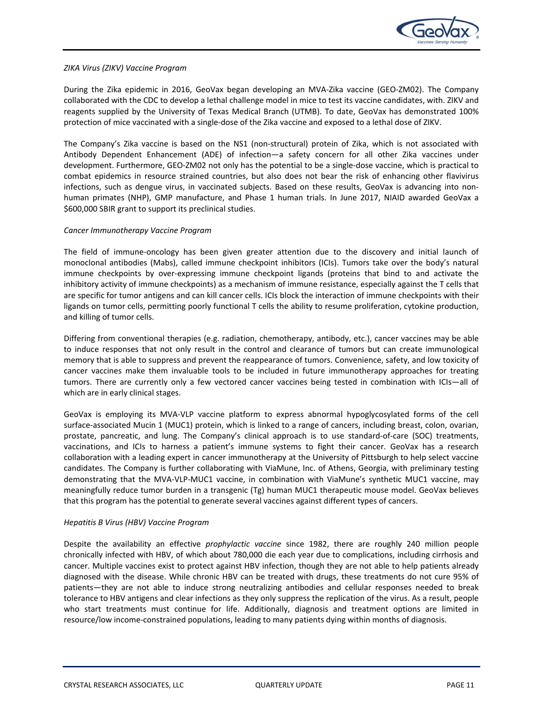

### *ZIKA Virus (ZIKV) Vaccine Program*

During the Zika epidemic in 2016, GeoVax began developing an MVA-Zika vaccine (GEO-ZM02). The Company collaborated with the CDC to develop a lethal challenge model in mice to test its vaccine candidates, with. ZIKV and reagents supplied by the University of Texas Medical Branch (UTMB). To date, GeoVax has demonstrated 100% protection of mice vaccinated with a single‐dose of the Zika vaccine and exposed to a lethal dose of ZIKV.

The Company's Zika vaccine is based on the NS1 (non-structural) protein of Zika, which is not associated with Antibody Dependent Enhancement (ADE) of infection—a safety concern for all other Zika vaccines under development. Furthermore, GEO‐ZM02 not only has the potential to be a single‐dose vaccine, which is practical to combat epidemics in resource strained countries, but also does not bear the risk of enhancing other flavivirus infections, such as dengue virus, in vaccinated subjects. Based on these results, GeoVax is advancing into nonhuman primates (NHP), GMP manufacture, and Phase 1 human trials. In June 2017, NIAID awarded GeoVax a \$600,000 SBIR grant to support its preclinical studies.

### *Cancer Immunotherapy Vaccine Program*

The field of immune-oncology has been given greater attention due to the discovery and initial launch of monoclonal antibodies (Mabs), called immune checkpoint inhibitors (ICIs). Tumors take over the body's natural immune checkpoints by over-expressing immune checkpoint ligands (proteins that bind to and activate the inhibitory activity of immune checkpoints) as a mechanism of immune resistance, especially against the T cells that are specific for tumor antigens and can kill cancer cells. ICIs block the interaction of immune checkpoints with their ligands on tumor cells, permitting poorly functional T cells the ability to resume proliferation, cytokine production, and killing of tumor cells.

Differing from conventional therapies (e.g. radiation, chemotherapy, antibody, etc.), cancer vaccines may be able to induce responses that not only result in the control and clearance of tumors but can create immunological memory that is able to suppress and prevent the reappearance of tumors. Convenience, safety, and low toxicity of cancer vaccines make them invaluable tools to be included in future immunotherapy approaches for treating tumors. There are currently only a few vectored cancer vaccines being tested in combination with ICIs—all of which are in early clinical stages.

GeoVax is employing its MVA-VLP vaccine platform to express abnormal hypoglycosylated forms of the cell surface-associated Mucin 1 (MUC1) protein, which is linked to a range of cancers, including breast, colon, ovarian, prostate, pancreatic, and lung. The Company's clinical approach is to use standard-of-care (SOC) treatments, vaccinations, and ICIs to harness a patient's immune systems to fight their cancer. GeoVax has a research collaboration with a leading expert in cancer immunotherapy at the University of Pittsburgh to help select vaccine candidates. The Company is further collaborating with ViaMune, Inc. of Athens, Georgia, with preliminary testing demonstrating that the MVA‐VLP‐MUC1 vaccine, in combination with ViaMune's synthetic MUC1 vaccine, may meaningfully reduce tumor burden in a transgenic (Tg) human MUC1 therapeutic mouse model. GeoVax believes that this program has the potential to generate several vaccines against different types of cancers.

### *Hepatitis B Virus (HBV) Vaccine Program*

Despite the availability an effective *prophylactic vaccine* since 1982, there are roughly 240 million people chronically infected with HBV, of which about 780,000 die each year due to complications, including cirrhosis and cancer. Multiple vaccines exist to protect against HBV infection, though they are not able to help patients already diagnosed with the disease. While chronic HBV can be treated with drugs, these treatments do not cure 95% of patients—they are not able to induce strong neutralizing antibodies and cellular responses needed to break tolerance to HBV antigens and clear infections as they only suppress the replication of the virus. As a result, people who start treatments must continue for life. Additionally, diagnosis and treatment options are limited in resource/low income‐constrained populations, leading to many patients dying within months of diagnosis.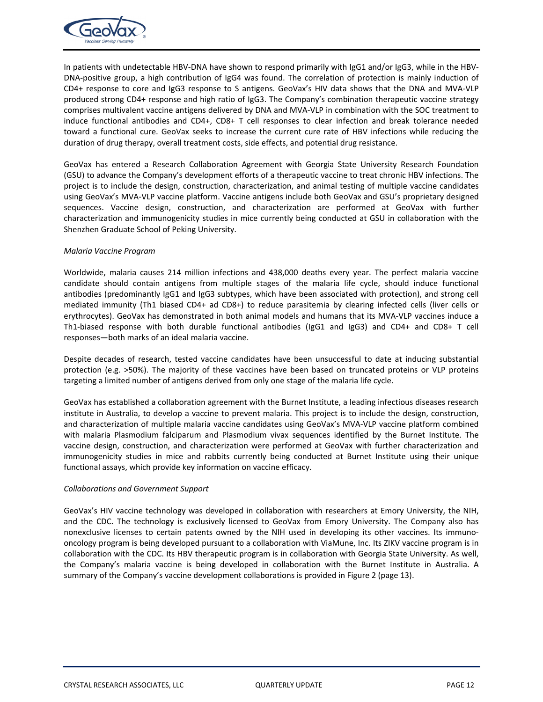

In patients with undetectable HBV‐DNA have shown to respond primarily with IgG1 and/or IgG3, while in the HBV‐ DNA-positive group, a high contribution of IgG4 was found. The correlation of protection is mainly induction of CD4+ response to core and IgG3 response to S antigens. GeoVax's HIV data shows that the DNA and MVA‐VLP produced strong CD4+ response and high ratio of IgG3. The Company's combination therapeutic vaccine strategy comprises multivalent vaccine antigens delivered by DNA and MVA‐VLP in combination with the SOC treatment to induce functional antibodies and CD4+, CD8+ T cell responses to clear infection and break tolerance needed toward a functional cure. GeoVax seeks to increase the current cure rate of HBV infections while reducing the duration of drug therapy, overall treatment costs, side effects, and potential drug resistance.

GeoVax has entered a Research Collaboration Agreement with Georgia State University Research Foundation (GSU) to advance the Company's development efforts of a therapeutic vaccine to treat chronic HBV infections. The project is to include the design, construction, characterization, and animal testing of multiple vaccine candidates using GeoVax's MVA‐VLP vaccine platform. Vaccine antigens include both GeoVax and GSU's proprietary designed sequences. Vaccine design, construction, and characterization are performed at GeoVax with further characterization and immunogenicity studies in mice currently being conducted at GSU in collaboration with the Shenzhen Graduate School of Peking University.

### *Malaria Vaccine Program*

Worldwide, malaria causes 214 million infections and 438,000 deaths every year. The perfect malaria vaccine candidate should contain antigens from multiple stages of the malaria life cycle, should induce functional antibodies (predominantly IgG1 and IgG3 subtypes, which have been associated with protection), and strong cell mediated immunity (Th1 biased CD4+ ad CD8+) to reduce parasitemia by clearing infected cells (liver cells or erythrocytes). GeoVax has demonstrated in both animal models and humans that its MVA‐VLP vaccines induce a Th1‐biased response with both durable functional antibodies (IgG1 and IgG3) and CD4+ and CD8+ T cell responses—both marks of an ideal malaria vaccine.

Despite decades of research, tested vaccine candidates have been unsuccessful to date at inducing substantial protection (e.g. >50%). The majority of these vaccines have been based on truncated proteins or VLP proteins targeting a limited number of antigens derived from only one stage of the malaria life cycle.

GeoVax has established a collaboration agreement with the Burnet Institute, a leading infectious diseases research institute in Australia, to develop a vaccine to prevent malaria. This project is to include the design, construction, and characterization of multiple malaria vaccine candidates using GeoVax's MVA‐VLP vaccine platform combined with malaria Plasmodium falciparum and Plasmodium vivax sequences identified by the Burnet Institute. The vaccine design, construction, and characterization were performed at GeoVax with further characterization and immunogenicity studies in mice and rabbits currently being conducted at Burnet Institute using their unique functional assays, which provide key information on vaccine efficacy.

### *Collaborations and Government Support*

GeoVax's HIV vaccine technology was developed in collaboration with researchers at Emory University, the NIH, and the CDC. The technology is exclusively licensed to GeoVax from Emory University. The Company also has nonexclusive licenses to certain patents owned by the NIH used in developing its other vaccines. Its immunooncology program is being developed pursuant to a collaboration with ViaMune, Inc. Its ZIKV vaccine program is in collaboration with the CDC. Its HBV therapeutic program is in collaboration with Georgia State University. As well, the Company's malaria vaccine is being developed in collaboration with the Burnet Institute in Australia. A summary of the Company's vaccine development collaborations is provided in Figure 2 (page 13).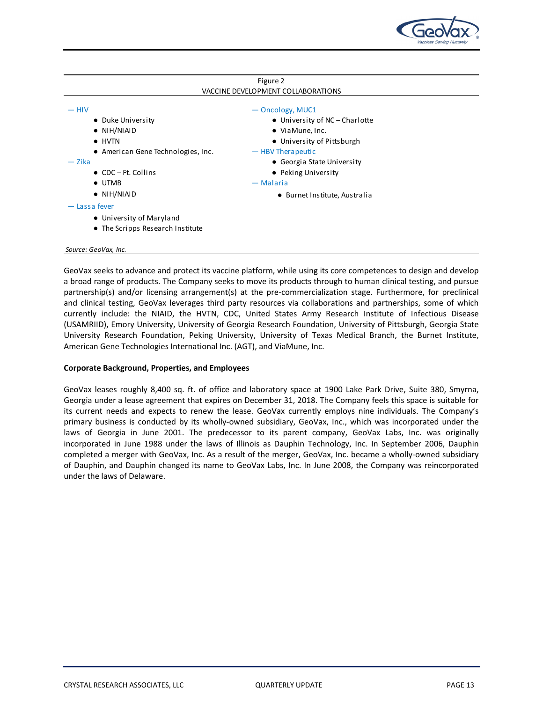

| Figure 2                           |                                        |  |  |  |  |
|------------------------------------|----------------------------------------|--|--|--|--|
| VACCINE DEVELOPMENT COLLABORATIONS |                                        |  |  |  |  |
| $-$ HIV                            | - Oncology, MUC1                       |  |  |  |  |
| • Duke University                  | $\bullet$ University of NC – Charlotte |  |  |  |  |
| $\bullet$ NIH/NIAID                | $\bullet$ Via Mune, Inc.               |  |  |  |  |
| $\bullet$ HVTN                     | • University of Pittsburgh             |  |  |  |  |
| • American Gene Technologies, Inc. | - HBV Therapeutic                      |  |  |  |  |
| — Zika                             | • Georgia State University             |  |  |  |  |
| $\bullet$ CDC – Ft. Collins        | • Peking University                    |  |  |  |  |
| $\bullet$ UTMB                     | — Malaria                              |  |  |  |  |
| $\bullet$ NIH/NIAID                | • Burnet Institute, Australia          |  |  |  |  |
| - Lassa fever                      |                                        |  |  |  |  |
| • University of Maryland           |                                        |  |  |  |  |
| • The Scripps Research Institute   |                                        |  |  |  |  |
|                                    |                                        |  |  |  |  |
| Source: GeoVax, Inc.               |                                        |  |  |  |  |

GeoVax seeks to advance and protect its vaccine platform, while using its core competences to design and develop a broad range of products. The Company seeks to move its products through to human clinical testing, and pursue partnership(s) and/or licensing arrangement(s) at the pre-commercialization stage. Furthermore, for preclinical and clinical testing, GeoVax leverages third party resources via collaborations and partnerships, some of which currently include: the NIAID, the HVTN, CDC, United States Army Research Institute of Infectious Disease (USAMRIID), Emory University, University of Georgia Research Foundation, University of Pittsburgh, Georgia State University Research Foundation, Peking University, University of Texas Medical Branch, the Burnet Institute, American Gene Technologies International Inc. (AGT), and ViaMune, Inc.

### **Corporate Background, Properties, and Employees**

GeoVax leases roughly 8,400 sq. ft. of office and laboratory space at 1900 Lake Park Drive, Suite 380, Smyrna, Georgia under a lease agreement that expires on December 31, 2018. The Company feels this space is suitable for its current needs and expects to renew the lease. GeoVax currently employs nine individuals. The Company's primary business is conducted by its wholly-owned subsidiary, GeoVax, Inc., which was incorporated under the laws of Georgia in June 2001. The predecessor to its parent company, GeoVax Labs, Inc. was originally incorporated in June 1988 under the laws of Illinois as Dauphin Technology, Inc. In September 2006, Dauphin completed a merger with GeoVax, Inc. As a result of the merger, GeoVax, Inc. became a wholly‐owned subsidiary of Dauphin, and Dauphin changed its name to GeoVax Labs, Inc. In June 2008, the Company was reincorporated under the laws of Delaware.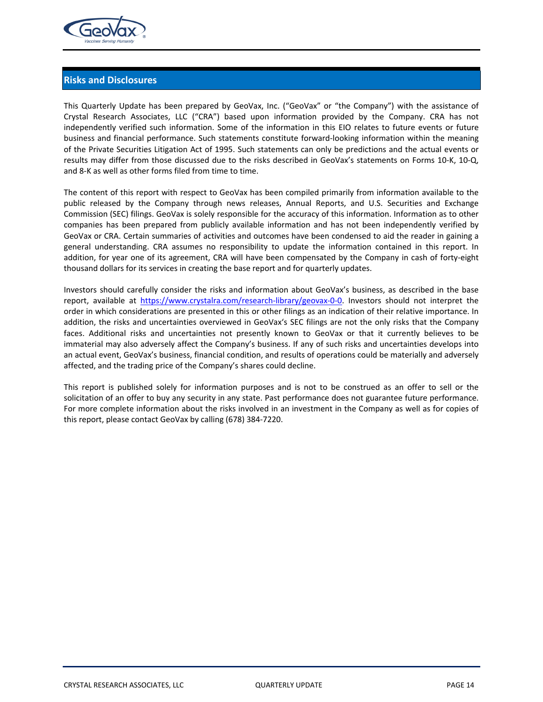

## **Risks and Disclosures**

This Quarterly Update has been prepared by GeoVax, Inc. ("GeoVax" or "the Company") with the assistance of Crystal Research Associates, LLC ("CRA") based upon information provided by the Company. CRA has not independently verified such information. Some of the information in this EIO relates to future events or future business and financial performance. Such statements constitute forward‐looking information within the meaning of the Private Securities Litigation Act of 1995. Such statements can only be predictions and the actual events or results may differ from those discussed due to the risks described in GeoVax's statements on Forms 10‐K, 10‐Q, and 8‐K as well as other forms filed from time to time.

The content of this report with respect to GeoVax has been compiled primarily from information available to the public released by the Company through news releases, Annual Reports, and U.S. Securities and Exchange Commission (SEC) filings. GeoVax is solely responsible for the accuracy of this information. Information as to other companies has been prepared from publicly available information and has not been independently verified by GeoVax or CRA. Certain summaries of activities and outcomes have been condensed to aid the reader in gaining a general understanding. CRA assumes no responsibility to update the information contained in this report. In addition, for year one of its agreement, CRA will have been compensated by the Company in cash of forty-eight thousand dollars for its services in creating the base report and for quarterly updates.

Investors should carefully consider the risks and information about GeoVax's business, as described in the base report, available at https://www.crystalra.com/research-library/geovax-0-0. Investors should not interpret the order in which considerations are presented in this or other filings as an indication of their relative importance. In addition, the risks and uncertainties overviewed in GeoVax's SEC filings are not the only risks that the Company faces. Additional risks and uncertainties not presently known to GeoVax or that it currently believes to be immaterial may also adversely affect the Company's business. If any of such risks and uncertainties develops into an actual event, GeoVax's business, financial condition, and results of operations could be materially and adversely affected, and the trading price of the Company's shares could decline.

This report is published solely for information purposes and is not to be construed as an offer to sell or the solicitation of an offer to buy any security in any state. Past performance does not guarantee future performance. For more complete information about the risks involved in an investment in the Company as well as for copies of this report, please contact GeoVax by calling (678) 384‐7220.